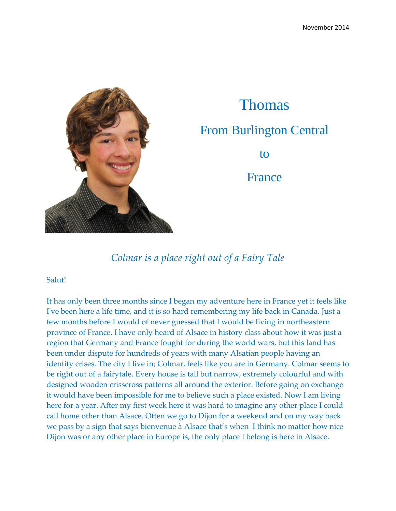

## Thomas From Burlington Central to France

*Colmar is a place right out of a Fairy Tale*

## Salut!

It has only been three months since I began my adventure here in France yet it feels like I've been here a life time, and it is so hard remembering my life back in Canada. Just a few months before I would of never guessed that I would be living in northeastern province of France. I have only heard of Alsace in history class about how it was just a region that Germany and France fought for during the world wars, but this land has been under dispute for hundreds of years with many Alsatian people having an identity crises. The city I live in; Colmar, feels like you are in Germany. Colmar seems to be right out of a fairytale. Every house is tall but narrow, extremely colourful and with designed wooden crisscross patterns all around the exterior. Before going on exchange it would have been impossible for me to believe such a place existed. Now I am living here for a year. After my first week here it was hard to imagine any other place I could call home other than Alsace. Often we go to Dijon for a weekend and on my way back we pass by a sign that says bienvenue à Alsace that's when I think no matter how nice Dijon was or any other place in Europe is, the only place I belong is here in Alsace.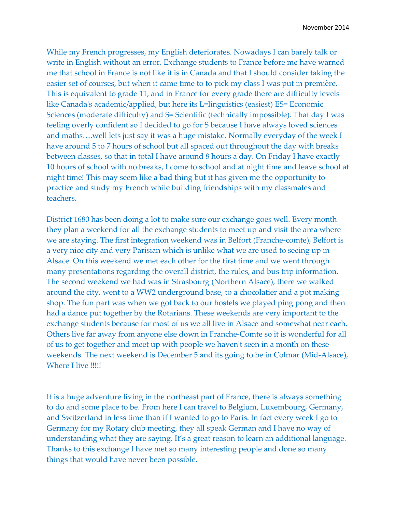While my French progresses, my English deteriorates. Nowadays I can barely talk or write in English without an error. Exchange students to France before me have warned me that school in France is not like it is in Canada and that I should consider taking the easier set of courses, but when it came time to to pick my class I was put in première. This is equivalent to grade 11, and in France for every grade there are difficulty levels like Canada's academic/applied, but here its L=linguistics (easiest) ES= Economic Sciences (moderate difficulty) and S= Scientific (technically impossible). That day I was feeling overly confident so I decided to go for S because I have always loved sciences and maths….well lets just say it was a huge mistake. Normally everyday of the week I have around 5 to 7 hours of school but all spaced out throughout the day with breaks between classes, so that in total I have around 8 hours a day. On Friday I have exactly 10 hours of school with no breaks, I come to school and at night time and leave school at night time! This may seem like a bad thing but it has given me the opportunity to practice and study my French while building friendships with my classmates and teachers.

District 1680 has been doing a lot to make sure our exchange goes well. Every month they plan a weekend for all the exchange students to meet up and visit the area where we are staying. The first integration weekend was in Belfort (Franche-comte), Belfort is a very nice city and very Parisian which is unlike what we are used to seeing up in Alsace. On this weekend we met each other for the first time and we went through many presentations regarding the overall district, the rules, and bus trip information. The second weekend we had was in Strasbourg (Northern Alsace), there we walked around the city, went to a WW2 underground base, to a chocolatier and a pot making shop. The fun part was when we got back to our hostels we played ping pong and then had a dance put together by the Rotarians. These weekends are very important to the exchange students because for most of us we all live in Alsace and somewhat near each. Others live far away from anyone else down in Franche-Comte so it is wonderful for all of us to get together and meet up with people we haven't seen in a month on these weekends. The next weekend is December 5 and its going to be in Colmar (Mid-Alsace), Where I live !!!!!

It is a huge adventure living in the northeast part of France, there is always something to do and some place to be. From here I can travel to Belgium, Luxembourg, Germany, and Switzerland in less time than if I wanted to go to Paris. In fact every week I go to Germany for my Rotary club meeting, they all speak German and I have no way of understanding what they are saying. It's a great reason to learn an additional language. Thanks to this exchange I have met so many interesting people and done so many things that would have never been possible.